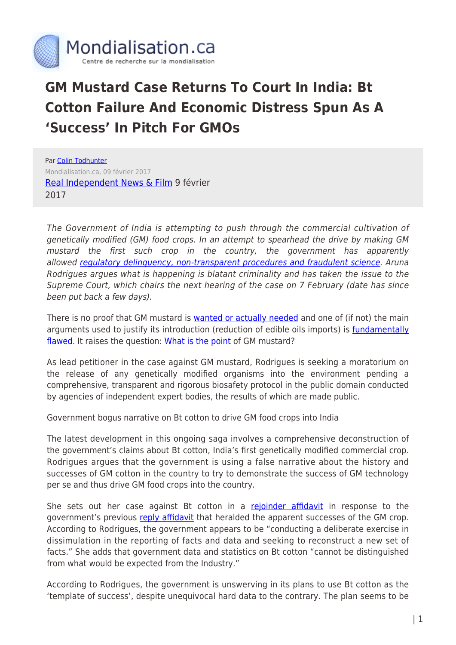

## **GM Mustard Case Returns To Court In India: Bt Cotton Failure And Economic Distress Spun As A 'Success' In Pitch For GMOs**

Par [Colin Todhunter](https://www.mondialisation.ca/author/colin-todhunter) Mondialisation.ca, 09 février 2017 [Real Independent News & Film](https://rinf.com/alt-news/newswire/gm-mustard-case-returns-court-india-bt-cotton-failure-economic-distress-spun-success-pitch-gmos/) 9 février 2017

The Government of India is attempting to push through the commercial cultivation of genetically modified (GM) food crops. In an attempt to spearhead the drive by making GM mustard the first such crop in the country, the government has apparently allowed regulatory delinguency, non-transparent procedures and fraudulent science. Aruna Rodrigues argues what is happening is blatant criminality and has taken the issue to the Supreme Court, which chairs the next hearing of the case on 7 February (date has since been put back a few days).

There is no proof that GM mustard is [wanted or actually needed](http://www.countercurrents.org/cgm031115.htm) and one of (if not) the main arguments used to justify its introduction (reduction of edible oils imports) is *fundamentally* [flawed.](http://www.counterpunch.org/2016/03/11/palm-oil-and-gm-mustard-a-marriage-made-in-hell/) It raises the question: [What is the point](http://www.countercurrents.org/2017/01/23/development-and-india-why-gm-mustard-really-matters/) of GM mustard?

As lead petitioner in the case against GM mustard, Rodrigues is seeking a moratorium on the release of any genetically modified organisms into the environment pending a comprehensive, transparent and rigorous biosafety protocol in the public domain conducted by agencies of independent expert bodies, the results of which are made public.

Government bogus narrative on Bt cotton to drive GM food crops into India

The latest development in this ongoing saga involves a comprehensive deconstruction of the government's claims about Bt cotton, India's first genetically modified commercial crop. Rodrigues argues that the government is using a false narrative about the history and successes of GM cotton in the country to try to demonstrate the success of GM technology per se and thus drive GM food crops into the country.

She sets out her case against Bt cotton in a [rejoinder affidavit](http://rinf.com/alt-news/wp-content/uploads/2017/02/Rejoinder-Bt-Cotton-FINAL-3rd-Feb-2017.docx) in response to the government's previous [reply affidavit](http://rinf.com/alt-news/wp-content/uploads/2017/02/Reply-U-of-I-in-IA-No.-48.pdf) that heralded the apparent successes of the GM crop. According to Rodrigues, the government appears to be "conducting a deliberate exercise in dissimulation in the reporting of facts and data and seeking to reconstruct a new set of facts." She adds that government data and statistics on Bt cotton "cannot be distinguished from what would be expected from the Industry."

According to Rodrigues, the government is unswerving in its plans to use Bt cotton as the 'template of success', despite unequivocal hard data to the contrary. The plan seems to be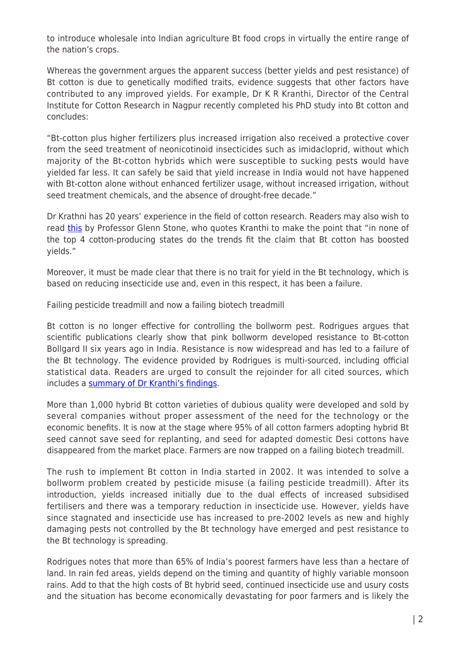to introduce wholesale into Indian agriculture Bt food crops in virtually the entire range of the nation's crops.

Whereas the government argues the apparent success (better yields and pest resistance) of Bt cotton is due to genetically modified traits, evidence suggests that other factors have contributed to any improved yields. For example, Dr K R Kranthi, Director of the Central Institute for Cotton Research in Nagpur recently completed his PhD study into Bt cotton and concludes:

"Bt-cotton plus higher fertilizers plus increased irrigation also received a protective cover from the seed treatment of neonicotinoid insecticides such as imidacloprid, without which majority of the Bt-cotton hybrids which were susceptible to sucking pests would have yielded far less. It can safely be said that yield increase in India would not have happened with Bt-cotton alone without enhanced fertilizer usage, without increased irrigation, without seed treatment chemicals, and the absence of drought-free decade."

Dr Krathni has 20 years' experience in the field of cotton research. Readers may also wish to read [this](https://fieldquestions.com/2012/02/12/bt-cotton-remarkable-success-and-four-ugly-facts/) by Professor Glenn Stone, who quotes Kranthi to make the point that "in none of the top 4 cotton-producing states do the trends fit the claim that Bt cotton has boosted yields."

Moreover, it must be made clear that there is no trait for yield in the Bt technology, which is based on reducing insecticide use and, even in this respect, it has been a failure.

Failing pesticide treadmill and now a failing biotech treadmill

Bt cotton is no longer effective for controlling the bollworm pest. Rodrigues argues that scientific publications clearly show that pink bollworm developed resistance to Bt-cotton Bollgard II six years ago in India. Resistance is now widespread and has led to a failure of the Bt technology. The evidence provided by Rodrigues is multi-sourced, including official statistical data. Readers are urged to consult the rejoinder for all cited sources, which includes a [summary of Dr Kranthi's findings](http://rinf.com/alt-news/wp-content/uploads/2017/02/Annexure-W-1-CAI-Fertilizers-insecticides-and-Bt-etc-27-12-2016.pdf).

More than 1,000 hybrid Bt cotton varieties of dubious quality were developed and sold by several companies without proper assessment of the need for the technology or the economic benefits. It is now at the stage where 95% of all cotton farmers adopting hybrid Bt seed cannot save seed for replanting, and seed for adapted domestic Desi cottons have disappeared from the market place. Farmers are now trapped on a failing biotech treadmill.

The rush to implement Bt cotton in India started in 2002. It was intended to solve a bollworm problem created by pesticide misuse (a failing pesticide treadmill). After its introduction, yields increased initially due to the dual effects of increased subsidised fertilisers and there was a temporary reduction in insecticide use. However, yields have since stagnated and insecticide use has increased to pre-2002 levels as new and highly damaging pests not controlled by the Bt technology have emerged and pest resistance to the Bt technology is spreading.

Rodrigues notes that more than 65% of India's poorest farmers have less than a hectare of land. In rain fed areas, yields depend on the timing and quantity of highly variable monsoon rains. Add to that the high costs of Bt hybrid seed, continued insecticide use and usury costs and the situation has become economically devastating for poor farmers and is likely the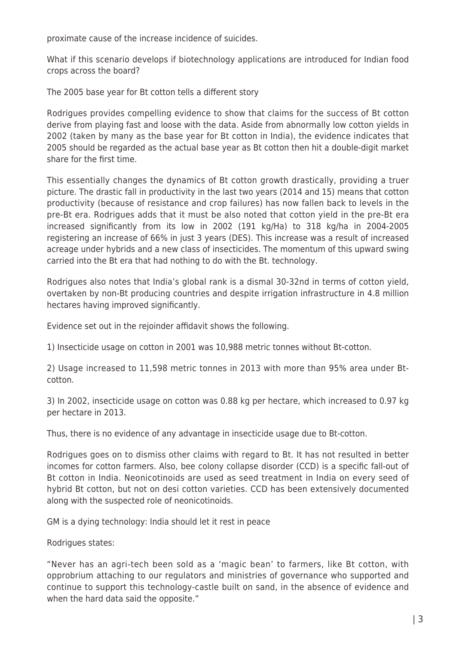proximate cause of the increase incidence of suicides.

What if this scenario develops if biotechnology applications are introduced for Indian food crops across the board?

The 2005 base year for Bt cotton tells a different story

Rodrigues provides compelling evidence to show that claims for the success of Bt cotton derive from playing fast and loose with the data. Aside from abnormally low cotton yields in 2002 (taken by many as the base year for Bt cotton in India), the evidence indicates that 2005 should be regarded as the actual base year as Bt cotton then hit a double-digit market share for the first time.

This essentially changes the dynamics of Bt cotton growth drastically, providing a truer picture. The drastic fall in productivity in the last two years (2014 and 15) means that cotton productivity (because of resistance and crop failures) has now fallen back to levels in the pre-Bt era. Rodrigues adds that it must be also noted that cotton yield in the pre-Bt era increased significantly from its low in 2002 (191 kg/Ha) to 318 kg/ha in 2004-2005 registering an increase of 66% in just 3 years (DES). This increase was a result of increased acreage under hybrids and a new class of insecticides. The momentum of this upward swing carried into the Bt era that had nothing to do with the Bt. technology.

Rodrigues also notes that India's global rank is a dismal 30-32nd in terms of cotton yield, overtaken by non-Bt producing countries and despite irrigation infrastructure in 4.8 million hectares having improved significantly.

Evidence set out in the rejoinder affidavit shows the following.

1) Insecticide usage on cotton in 2001 was 10,988 metric tonnes without Bt-cotton.

2) Usage increased to 11,598 metric tonnes in 2013 with more than 95% area under Btcotton.

3) In 2002, insecticide usage on cotton was 0.88 kg per hectare, which increased to 0.97 kg per hectare in 2013.

Thus, there is no evidence of any advantage in insecticide usage due to Bt-cotton.

Rodrigues goes on to dismiss other claims with regard to Bt. It has not resulted in better incomes for cotton farmers. Also, bee colony collapse disorder (CCD) is a specific fall-out of Bt cotton in India. Neonicotinoids are used as seed treatment in India on every seed of hybrid Bt cotton, but not on desi cotton varieties. CCD has been extensively documented along with the suspected role of neonicotinoids.

GM is a dying technology: India should let it rest in peace

Rodrigues states:

"Never has an agri-tech been sold as a 'magic bean' to farmers, like Bt cotton, with opprobrium attaching to our regulators and ministries of governance who supported and continue to support this technology-castle built on sand, in the absence of evidence and when the hard data said the opposite."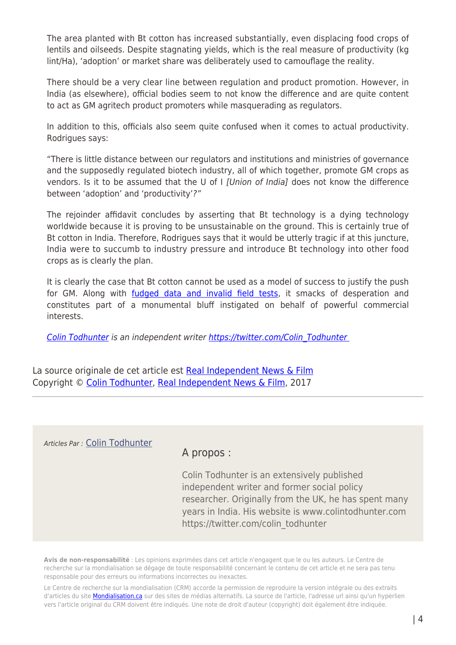The area planted with Bt cotton has increased substantially, even displacing food crops of lentils and oilseeds. Despite stagnating yields, which is the real measure of productivity (kg lint/Ha), 'adoption' or market share was deliberately used to camouflage the reality.

There should be a very clear line between regulation and product promotion. However, in India (as elsewhere), official bodies seem to not know the difference and are quite content to act as GM agritech product promoters while masquerading as regulators.

In addition to this, officials also seem quite confused when it comes to actual productivity. Rodrigues says:

"There is little distance between our regulators and institutions and ministries of governance and the supposedly regulated biotech industry, all of which together, promote GM crops as vendors. Is it to be assumed that the U of I *[Union of India]* does not know the difference between 'adoption' and 'productivity'?"

The rejoinder affidavit concludes by asserting that Bt technology is a dying technology worldwide because it is proving to be unsustainable on the ground. This is certainly true of Bt cotton in India. Therefore, Rodrigues says that it would be utterly tragic if at this juncture, India were to succumb to industry pressure and introduce Bt technology into other food crops as is clearly the plan.

It is clearly the case that Bt cotton cannot be used as a model of success to justify the push for GM. Along with *fudged data and invalid field tests*, it smacks of desperation and constitutes part of a monumental bluff instigated on behalf of powerful commercial interests.

[Colin Todhunter](http://rinf.com/alt-news/author/Colin-Todhunter/) is an independent writer https://twitter.com/Colin\_Todhunter

La source originale de cet article est [Real Independent News & Film](https://rinf.com/alt-news/newswire/gm-mustard-case-returns-court-india-bt-cotton-failure-economic-distress-spun-success-pitch-gmos/) Copyright © [Colin Todhunter](https://www.mondialisation.ca/author/colin-todhunter), [Real Independent News & Film](https://rinf.com/alt-news/newswire/gm-mustard-case-returns-court-india-bt-cotton-failure-economic-distress-spun-success-pitch-gmos/), 2017

Articles Par : [Colin Todhunter](https://www.mondialisation.ca/author/colin-todhunter)

## A propos :

Colin Todhunter is an extensively published independent writer and former social policy researcher. Originally from the UK, he has spent many years in India. His website is www.colintodhunter.com https://twitter.com/colin\_todhunter

**Avis de non-responsabilité** : Les opinions exprimées dans cet article n'engagent que le ou les auteurs. Le Centre de recherche sur la mondialisation se dégage de toute responsabilité concernant le contenu de cet article et ne sera pas tenu responsable pour des erreurs ou informations incorrectes ou inexactes.

Le Centre de recherche sur la mondialisation (CRM) accorde la permission de reproduire la version intégrale ou des extraits d'articles du site **Mondialisation.ca** sur des sites de médias alternatifs. La source de l'article, l'adresse url ainsi qu'un hyperlien vers l'article original du CRM doivent être indiqués. Une note de droit d'auteur (copyright) doit également être indiquée.